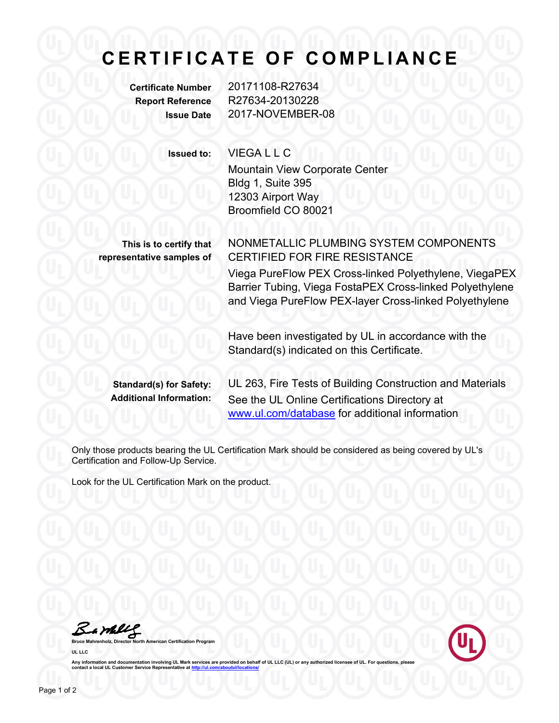## **CERTIFICATE OF CO MPLIANCE**

**Certificate Number** 20171108-R27634 **Report Reference** R27634-20130228 **Issue Date** 2017-NOVEMBER-08

**Issued to:** VIEGA L L C

Mountain View Corporate Center Bldg 1, Suite 395 12303 Airport Way Broomfield CO 80021

**This is to certify that representative samples of** NONMETALLIC PLUMBING SYSTEM COMPONENTS CERTIFIED FOR FIRE RESISTANCE

Viega PureFlow PEX Cross-linked Polyethylene, ViegaPEX Barrier Tubing, Viega FostaPEX Cross-linked Polyethylene and Viega PureFlow PEX-layer Cross-linked Polyethylene

Have been investigated by UL in accordance with the Standard(s) indicated on this Certificate.

**Standard(s) for Safety:** UL 263, Fire Tests of Building Construction and Materials **Additional Information:** See the UL Online Certifications Directory at [www.ul.com/database](http://www.ul.com/database) for additional information

Only those products bearing the UL Certification Mark should be considered as being covered by UL's Certification and Follow-Up Service.

Look for the UL Certification Mark on the product.

Bambles

**Bruce Mahrenholz, Director North American Certification Program UL LLC**



Any information and documentation involving UL Mark services are provided on behalf of UL LLC (UL) or any authorized licensee of UL. For questions, please<br>contact a local UL Customer Service Representative at <u>http://ul.co</u>